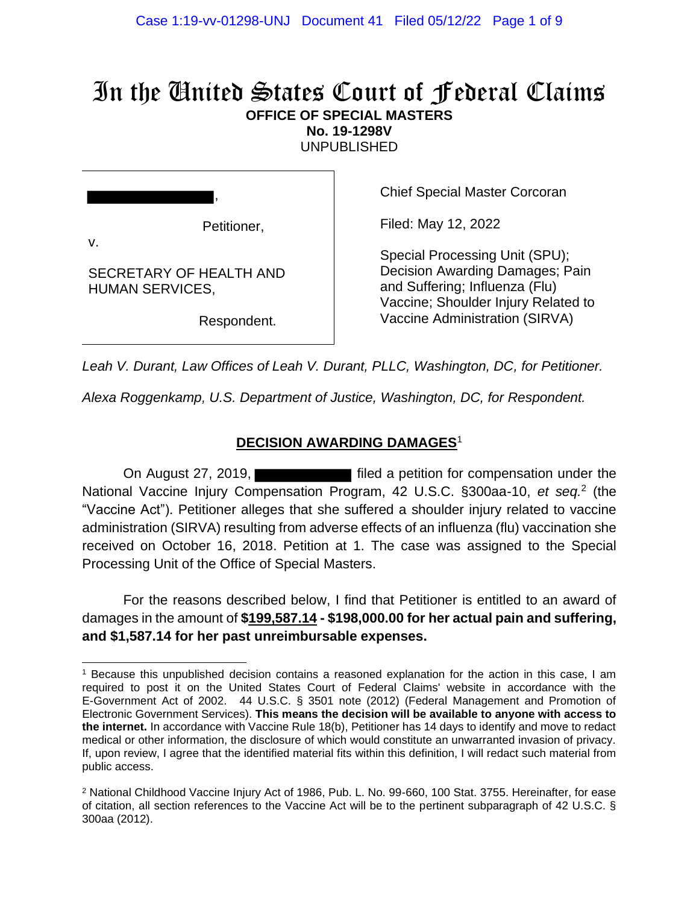# In the United States Court of Federal Claims **OFFICE OF SPECIAL MASTERS**

**No. 19-1298V**

UNPUBLISHED

Petitioner,

,

SECRETARY OF HEALTH AND

HUMAN SERVICES,

v.

Chief Special Master Corcoran

Filed: May 12, 2022

Special Processing Unit (SPU); Decision Awarding Damages; Pain and Suffering; Influenza (Flu) Vaccine; Shoulder Injury Related to Vaccine Administration (SIRVA)

Respondent.

*Leah V. Durant, Law Offices of Leah V. Durant, PLLC, Washington, DC, for Petitioner.*

*Alexa Roggenkamp, U.S. Department of Justice, Washington, DC, for Respondent.*

#### **DECISION AWARDING DAMAGES**<sup>1</sup>

On August 27, 2019, National Vaccine Injury Compensation Program, 42 U.S.C. §300aa-10, *et seq.*<sup>2</sup> (the "Vaccine Act"). Petitioner alleges that she suffered a shoulder injury related to vaccine administration (SIRVA) resulting from adverse effects of an influenza (flu) vaccination she received on October 16, 2018. Petition at 1. The case was assigned to the Special Processing Unit of the Office of Special Masters.

For the reasons described below, I find that Petitioner is entitled to an award of damages in the amount of **\$199,587.14 - \$198,000.00 for her actual pain and suffering, and \$1,587.14 for her past unreimbursable expenses.**

<sup>1</sup> Because this unpublished decision contains a reasoned explanation for the action in this case, I am required to post it on the United States Court of Federal Claims' website in accordance with the E-Government Act of 2002. 44 U.S.C. § 3501 note (2012) (Federal Management and Promotion of Electronic Government Services). **This means the decision will be available to anyone with access to the internet.** In accordance with Vaccine Rule 18(b), Petitioner has 14 days to identify and move to redact medical or other information, the disclosure of which would constitute an unwarranted invasion of privacy. If, upon review, I agree that the identified material fits within this definition, I will redact such material from public access.

<sup>2</sup> National Childhood Vaccine Injury Act of 1986, Pub. L. No. 99-660, 100 Stat. 3755. Hereinafter, for ease of citation, all section references to the Vaccine Act will be to the pertinent subparagraph of 42 U.S.C. § 300aa (2012).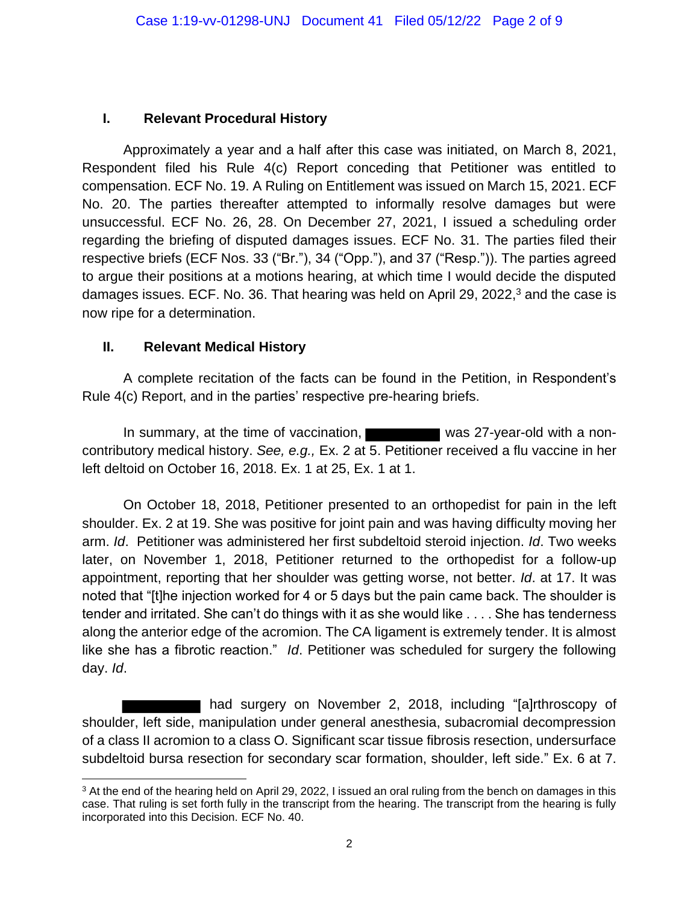#### **I. Relevant Procedural History**

Approximately a year and a half after this case was initiated, on March 8, 2021, Respondent filed his Rule 4(c) Report conceding that Petitioner was entitled to compensation. ECF No. 19. A Ruling on Entitlement was issued on March 15, 2021. ECF No. 20. The parties thereafter attempted to informally resolve damages but were unsuccessful. ECF No. 26, 28. On December 27, 2021, I issued a scheduling order regarding the briefing of disputed damages issues. ECF No. 31. The parties filed their respective briefs (ECF Nos. 33 ("Br."), 34 ("Opp."), and 37 ("Resp.")). The parties agreed to argue their positions at a motions hearing, at which time I would decide the disputed damages issues. ECF. No. 36. That hearing was held on April 29, 2022,<sup>3</sup> and the case is now ripe for a determination.

#### **II. Relevant Medical History**

A complete recitation of the facts can be found in the Petition, in Respondent's Rule 4(c) Report, and in the parties' respective pre-hearing briefs.

In summary, at the time of vaccination, was 27-year-old with a noncontributory medical history. *See, e.g.,* Ex. 2 at 5. Petitioner received a flu vaccine in her left deltoid on October 16, 2018. Ex. 1 at 25, Ex. 1 at 1.

On October 18, 2018, Petitioner presented to an orthopedist for pain in the left shoulder. Ex. 2 at 19. She was positive for joint pain and was having difficulty moving her arm. *Id*. Petitioner was administered her first subdeltoid steroid injection. *Id*. Two weeks later, on November 1, 2018, Petitioner returned to the orthopedist for a follow-up appointment, reporting that her shoulder was getting worse, not better. *Id*. at 17. It was noted that "[t]he injection worked for 4 or 5 days but the pain came back. The shoulder is tender and irritated. She can't do things with it as she would like . . . . She has tenderness along the anterior edge of the acromion. The CA ligament is extremely tender. It is almost like she has a fibrotic reaction." *Id*. Petitioner was scheduled for surgery the following day. *Id*.

had surgery on November 2, 2018, including "[a]rthroscopy of shoulder, left side, manipulation under general anesthesia, subacromial decompression of a class II acromion to a class O. Significant scar tissue fibrosis resection, undersurface subdeltoid bursa resection for secondary scar formation, shoulder, left side." Ex. 6 at 7.

<sup>&</sup>lt;sup>3</sup> At the end of the hearing held on April 29, 2022, I issued an oral ruling from the bench on damages in this case. That ruling is set forth fully in the transcript from the hearing. The transcript from the hearing is fully incorporated into this Decision. ECF No. 40.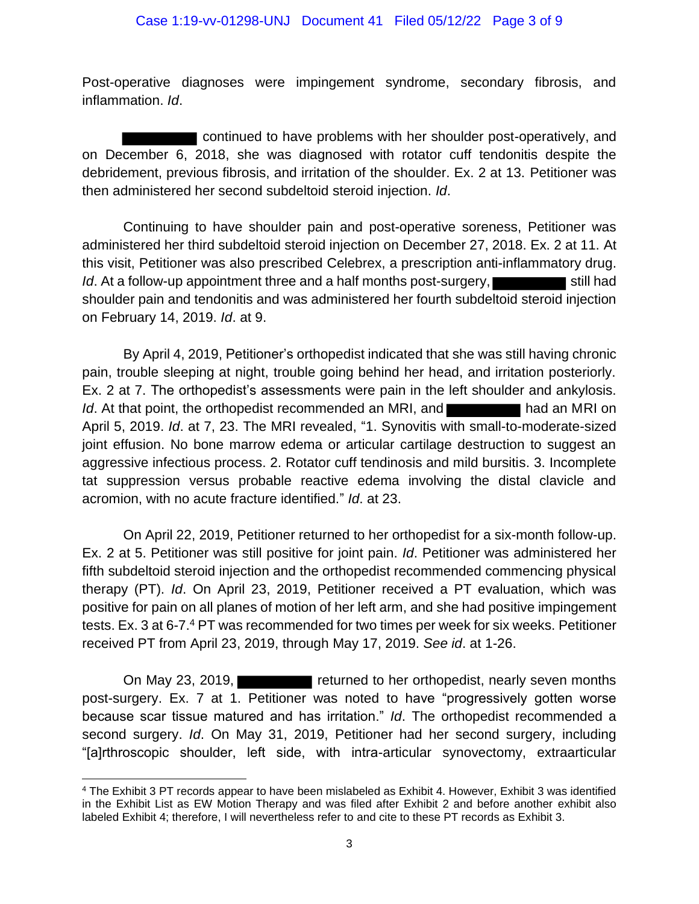Post-operative diagnoses were impingement syndrome, secondary fibrosis, and inflammation. *Id*.

continued to have problems with her shoulder post-operatively, and on December 6, 2018, she was diagnosed with rotator cuff tendonitis despite the debridement, previous fibrosis, and irritation of the shoulder. Ex. 2 at 13. Petitioner was then administered her second subdeltoid steroid injection. *Id*.

Continuing to have shoulder pain and post-operative soreness, Petitioner was administered her third subdeltoid steroid injection on December 27, 2018. Ex. 2 at 11. At this visit, Petitioner was also prescribed Celebrex, a prescription anti-inflammatory drug. *Id*. At a follow-up appointment three and a half months post-surgery, shoulder pain and tendonitis and was administered her fourth subdeltoid steroid injection on February 14, 2019. *Id*. at 9.

By April 4, 2019, Petitioner's orthopedist indicated that she was still having chronic pain, trouble sleeping at night, trouble going behind her head, and irritation posteriorly. Ex. 2 at 7. The orthopedist's assessments were pain in the left shoulder and ankylosis. *Id*. At that point, the orthopedist recommended an MRI, and **Figure 2014** had an MRI on April 5, 2019. *Id*. at 7, 23. The MRI revealed, "1. Synovitis with small-to-moderate-sized joint effusion. No bone marrow edema or articular cartilage destruction to suggest an aggressive infectious process. 2. Rotator cuff tendinosis and mild bursitis. 3. Incomplete tat suppression versus probable reactive edema involving the distal clavicle and acromion, with no acute fracture identified." *Id*. at 23.

On April 22, 2019, Petitioner returned to her orthopedist for a six-month follow-up. Ex. 2 at 5. Petitioner was still positive for joint pain. *Id*. Petitioner was administered her fifth subdeltoid steroid injection and the orthopedist recommended commencing physical therapy (PT). *Id*. On April 23, 2019, Petitioner received a PT evaluation, which was positive for pain on all planes of motion of her left arm, and she had positive impingement tests. Ex. 3 at 6-7.<sup>4</sup> PT was recommended for two times per week for six weeks. Petitioner received PT from April 23, 2019, through May 17, 2019. *See id*. at 1-26.

On May 23, 2019, **returned to her orthopedist, nearly seven months** post-surgery. Ex. 7 at 1. Petitioner was noted to have "progressively gotten worse because scar tissue matured and has irritation." *Id*. The orthopedist recommended a second surgery. *Id*. On May 31, 2019, Petitioner had her second surgery, including "[a]rthroscopic shoulder, left side, with intra-articular synovectomy, extraarticular

<sup>4</sup> The Exhibit 3 PT records appear to have been mislabeled as Exhibit 4. However, Exhibit 3 was identified in the Exhibit List as EW Motion Therapy and was filed after Exhibit 2 and before another exhibit also labeled Exhibit 4; therefore, I will nevertheless refer to and cite to these PT records as Exhibit 3.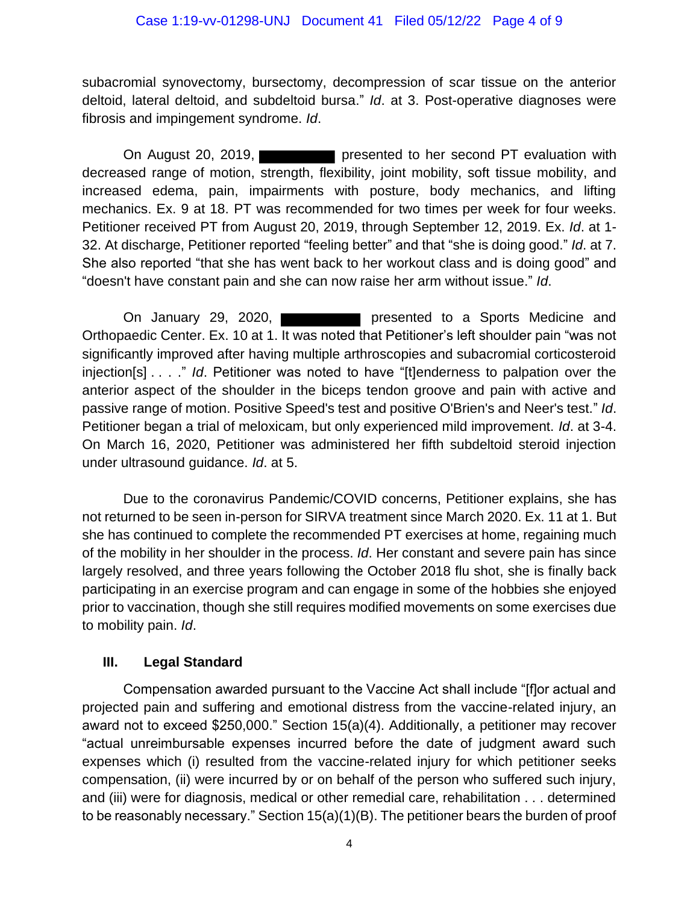subacromial synovectomy, bursectomy, decompression of scar tissue on the anterior deltoid, lateral deltoid, and subdeltoid bursa." *Id*. at 3. Post-operative diagnoses were fibrosis and impingement syndrome. *Id*.

On August 20, 2019, **presented to her second PT evaluation with** decreased range of motion, strength, flexibility, joint mobility, soft tissue mobility, and increased edema, pain, impairments with posture, body mechanics, and lifting mechanics. Ex. 9 at 18. PT was recommended for two times per week for four weeks. Petitioner received PT from August 20, 2019, through September 12, 2019. Ex. *Id*. at 1- 32. At discharge, Petitioner reported "feeling better" and that "she is doing good." *Id*. at 7. She also reported "that she has went back to her workout class and is doing good" and "doesn't have constant pain and she can now raise her arm without issue." *Id*.

On January 29, 2020, presented to a Sports Medicine and Orthopaedic Center. Ex. 10 at 1. It was noted that Petitioner's left shoulder pain "was not significantly improved after having multiple arthroscopies and subacromial corticosteroid injection[s] . . . ." *Id*. Petitioner was noted to have "[t]enderness to palpation over the anterior aspect of the shoulder in the biceps tendon groove and pain with active and passive range of motion. Positive Speed's test and positive O'Brien's and Neer's test." *Id*. Petitioner began a trial of meloxicam, but only experienced mild improvement. *Id*. at 3-4. On March 16, 2020, Petitioner was administered her fifth subdeltoid steroid injection under ultrasound guidance. *Id*. at 5.

Due to the coronavirus Pandemic/COVID concerns, Petitioner explains, she has not returned to be seen in-person for SIRVA treatment since March 2020. Ex. 11 at 1. But she has continued to complete the recommended PT exercises at home, regaining much of the mobility in her shoulder in the process. *Id*. Her constant and severe pain has since largely resolved, and three years following the October 2018 flu shot, she is finally back participating in an exercise program and can engage in some of the hobbies she enjoyed prior to vaccination, though she still requires modified movements on some exercises due to mobility pain. *Id*.

### **III. Legal Standard**

Compensation awarded pursuant to the Vaccine Act shall include "[f]or actual and projected pain and suffering and emotional distress from the vaccine-related injury, an award not to exceed \$250,000." Section 15(a)(4). Additionally, a petitioner may recover "actual unreimbursable expenses incurred before the date of judgment award such expenses which (i) resulted from the vaccine-related injury for which petitioner seeks compensation, (ii) were incurred by or on behalf of the person who suffered such injury, and (iii) were for diagnosis, medical or other remedial care, rehabilitation . . . determined to be reasonably necessary." Section 15(a)(1)(B). The petitioner bears the burden of proof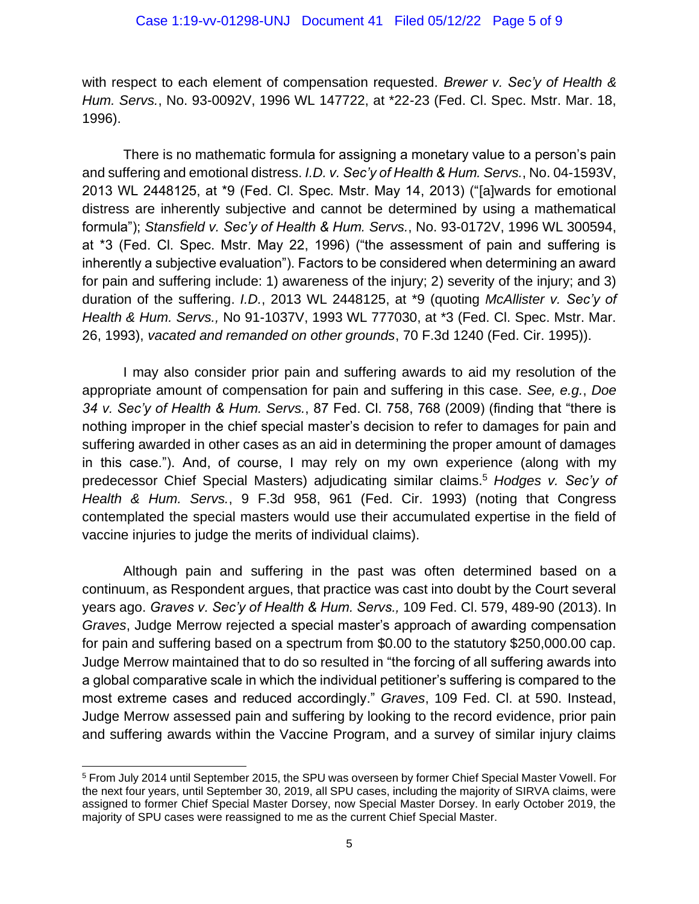with respect to each element of compensation requested. *Brewer v. Sec'y of Health & Hum. Servs.*, No. 93-0092V, 1996 WL 147722, at \*22-23 (Fed. Cl. Spec. Mstr. Mar. 18, 1996).

There is no mathematic formula for assigning a monetary value to a person's pain and suffering and emotional distress. *I.D. v. Sec'y of Health & Hum. Servs.*, No. 04-1593V, 2013 WL 2448125, at \*9 (Fed. Cl. Spec. Mstr. May 14, 2013) ("[a]wards for emotional distress are inherently subjective and cannot be determined by using a mathematical formula"); *Stansfield v. Sec'y of Health & Hum. Servs.*, No. 93-0172V, 1996 WL 300594, at \*3 (Fed. Cl. Spec. Mstr. May 22, 1996) ("the assessment of pain and suffering is inherently a subjective evaluation"). Factors to be considered when determining an award for pain and suffering include: 1) awareness of the injury; 2) severity of the injury; and 3) duration of the suffering. *I.D.*, 2013 WL 2448125, at \*9 (quoting *McAllister v. Sec'y of Health & Hum. Servs.,* No 91-1037V, 1993 WL 777030, at \*3 (Fed. Cl. Spec. Mstr. Mar. 26, 1993), *vacated and remanded on other grounds*, 70 F.3d 1240 (Fed. Cir. 1995)).

I may also consider prior pain and suffering awards to aid my resolution of the appropriate amount of compensation for pain and suffering in this case. *See, e.g.*, *Doe 34 v. Sec'y of Health & Hum. Servs.*, 87 Fed. Cl. 758, 768 (2009) (finding that "there is nothing improper in the chief special master's decision to refer to damages for pain and suffering awarded in other cases as an aid in determining the proper amount of damages in this case."). And, of course, I may rely on my own experience (along with my predecessor Chief Special Masters) adjudicating similar claims.<sup>5</sup> *Hodges v. Sec'y of Health & Hum. Servs.*, 9 F.3d 958, 961 (Fed. Cir. 1993) (noting that Congress contemplated the special masters would use their accumulated expertise in the field of vaccine injuries to judge the merits of individual claims).

Although pain and suffering in the past was often determined based on a continuum, as Respondent argues, that practice was cast into doubt by the Court several years ago. *Graves v. Sec'y of Health & Hum. Servs.,* 109 Fed. Cl. 579, 489-90 (2013). In *Graves*, Judge Merrow rejected a special master's approach of awarding compensation for pain and suffering based on a spectrum from \$0.00 to the statutory \$250,000.00 cap. Judge Merrow maintained that to do so resulted in "the forcing of all suffering awards into a global comparative scale in which the individual petitioner's suffering is compared to the most extreme cases and reduced accordingly." *Graves*, 109 Fed. Cl. at 590. Instead, Judge Merrow assessed pain and suffering by looking to the record evidence, prior pain and suffering awards within the Vaccine Program, and a survey of similar injury claims

<sup>5</sup> From July 2014 until September 2015, the SPU was overseen by former Chief Special Master Vowell. For the next four years, until September 30, 2019, all SPU cases, including the majority of SIRVA claims, were assigned to former Chief Special Master Dorsey, now Special Master Dorsey. In early October 2019, the majority of SPU cases were reassigned to me as the current Chief Special Master.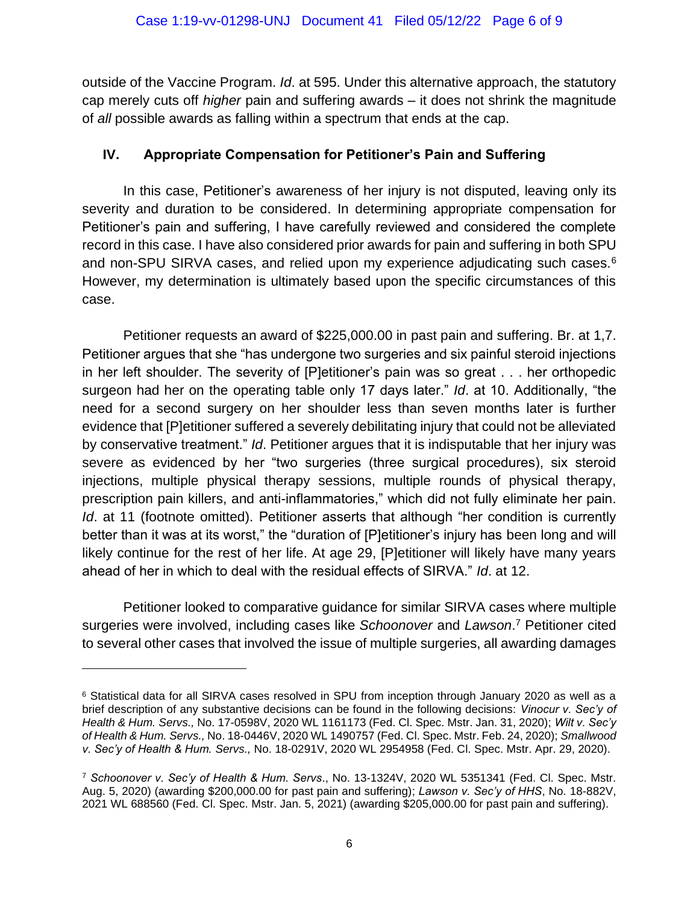outside of the Vaccine Program. *Id*. at 595. Under this alternative approach, the statutory cap merely cuts off *higher* pain and suffering awards – it does not shrink the magnitude of *all* possible awards as falling within a spectrum that ends at the cap.

## **IV. Appropriate Compensation for Petitioner's Pain and Suffering**

In this case, Petitioner's awareness of her injury is not disputed, leaving only its severity and duration to be considered. In determining appropriate compensation for Petitioner's pain and suffering, I have carefully reviewed and considered the complete record in this case. I have also considered prior awards for pain and suffering in both SPU and non-SPU SIRVA cases, and relied upon my experience adjudicating such cases.<sup>6</sup> However, my determination is ultimately based upon the specific circumstances of this case.

Petitioner requests an award of \$225,000.00 in past pain and suffering. Br. at 1,7. Petitioner argues that she "has undergone two surgeries and six painful steroid injections in her left shoulder. The severity of [P]etitioner's pain was so great . . . her orthopedic surgeon had her on the operating table only 17 days later." *Id*. at 10. Additionally, "the need for a second surgery on her shoulder less than seven months later is further evidence that [P]etitioner suffered a severely debilitating injury that could not be alleviated by conservative treatment." *Id*. Petitioner argues that it is indisputable that her injury was severe as evidenced by her "two surgeries (three surgical procedures), six steroid injections, multiple physical therapy sessions, multiple rounds of physical therapy, prescription pain killers, and anti-inflammatories," which did not fully eliminate her pain. *Id.* at 11 (footnote omitted). Petitioner asserts that although "her condition is currently better than it was at its worst," the "duration of [P]etitioner's injury has been long and will likely continue for the rest of her life. At age 29, [P]etitioner will likely have many years ahead of her in which to deal with the residual effects of SIRVA." *Id*. at 12.

Petitioner looked to comparative guidance for similar SIRVA cases where multiple surgeries were involved, including cases like *Schoonover* and *Lawson*. <sup>7</sup> Petitioner cited to several other cases that involved the issue of multiple surgeries, all awarding damages

<sup>6</sup> Statistical data for all SIRVA cases resolved in SPU from inception through January 2020 as well as a brief description of any substantive decisions can be found in the following decisions: *Vinocur v. Sec'y of Health & Hum. Servs.,* No. 17-0598V, 2020 WL 1161173 (Fed. Cl. Spec. Mstr. Jan. 31, 2020); *Wilt v. Sec'y of Health & Hum. Servs.,* No. 18-0446V, 2020 WL 1490757 (Fed. Cl. Spec. Mstr. Feb. 24, 2020); *Smallwood v. Sec'y of Health & Hum. Servs.,* No. 18-0291V, 2020 WL 2954958 (Fed. Cl. Spec. Mstr. Apr. 29, 2020).

<sup>7</sup> *Schoonover v. Sec'y of Health & Hum. Servs*., No. 13-1324V, 2020 WL 5351341 (Fed. Cl. Spec. Mstr. Aug. 5, 2020) (awarding \$200,000.00 for past pain and suffering); *Lawson v. Sec'y of HHS*, No. 18-882V, 2021 WL 688560 (Fed. Cl. Spec. Mstr. Jan. 5, 2021) (awarding \$205,000.00 for past pain and suffering).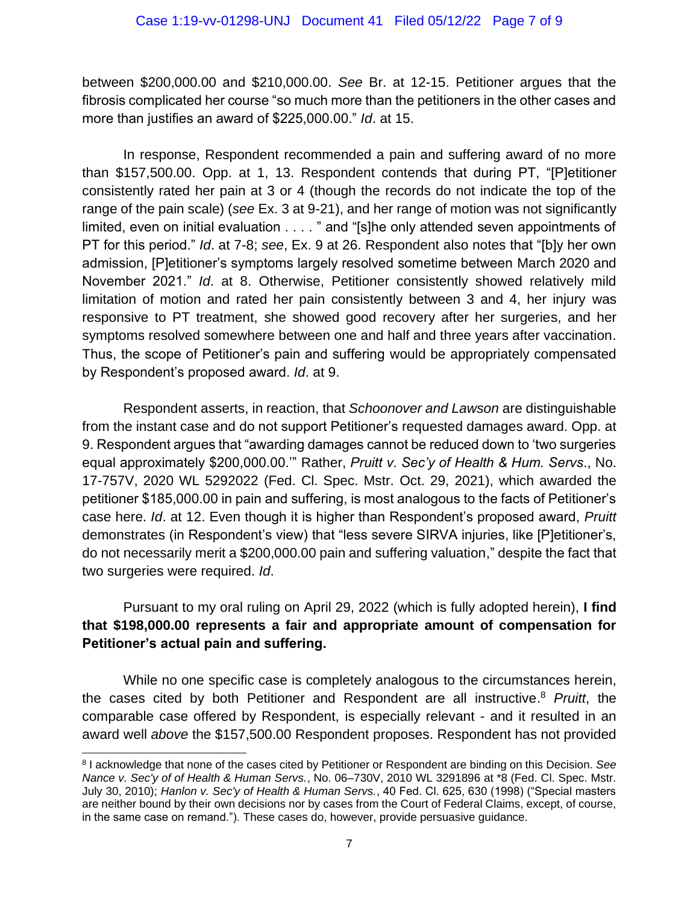between \$200,000.00 and \$210,000.00. *See* Br. at 12-15. Petitioner argues that the fibrosis complicated her course "so much more than the petitioners in the other cases and more than justifies an award of \$225,000.00." *Id*. at 15.

In response, Respondent recommended a pain and suffering award of no more than \$157,500.00. Opp. at 1, 13. Respondent contends that during PT, "[P]etitioner consistently rated her pain at 3 or 4 (though the records do not indicate the top of the range of the pain scale) (*see* Ex. 3 at 9-21), and her range of motion was not significantly limited, even on initial evaluation . . . . " and "[s]he only attended seven appointments of PT for this period." *Id*. at 7-8; *see*, Ex. 9 at 26. Respondent also notes that "[b]y her own admission, [P]etitioner's symptoms largely resolved sometime between March 2020 and November 2021." *Id*. at 8. Otherwise, Petitioner consistently showed relatively mild limitation of motion and rated her pain consistently between 3 and 4, her injury was responsive to PT treatment, she showed good recovery after her surgeries, and her symptoms resolved somewhere between one and half and three years after vaccination. Thus, the scope of Petitioner's pain and suffering would be appropriately compensated by Respondent's proposed award. *Id*. at 9.

Respondent asserts, in reaction, that *Schoonover and Lawson* are distinguishable from the instant case and do not support Petitioner's requested damages award. Opp. at 9. Respondent argues that "awarding damages cannot be reduced down to 'two surgeries equal approximately \$200,000.00.'" Rather, *Pruitt v. Sec'y of Health & Hum. Servs*., No. 17-757V, 2020 WL 5292022 (Fed. Cl. Spec. Mstr. Oct. 29, 2021), which awarded the petitioner \$185,000.00 in pain and suffering, is most analogous to the facts of Petitioner's case here. *Id*. at 12. Even though it is higher than Respondent's proposed award, *Pruitt* demonstrates (in Respondent's view) that "less severe SIRVA injuries, like [P]etitioner's, do not necessarily merit a \$200,000.00 pain and suffering valuation," despite the fact that two surgeries were required. *Id*.

# Pursuant to my oral ruling on April 29, 2022 (which is fully adopted herein), **I find that \$198,000.00 represents a fair and appropriate amount of compensation for Petitioner's actual pain and suffering.**

While no one specific case is completely analogous to the circumstances herein, the cases cited by both Petitioner and Respondent are all instructive. <sup>8</sup> *Pruitt*, the comparable case offered by Respondent, is especially relevant - and it resulted in an award well *above* the \$157,500.00 Respondent proposes. Respondent has not provided

<sup>8</sup> I acknowledge that none of the cases cited by Petitioner or Respondent are binding on this Decision. *See Nance v. Sec'y of of Health & Human Servs.*, No. 06–730V, 2010 WL 3291896 at \*8 (Fed. Cl. Spec. Mstr. July 30, 2010); *Hanlon v. Sec'y of Health & Human Servs.*, 40 Fed. Cl. 625, 630 (1998) ("Special masters are neither bound by their own decisions nor by cases from the Court of Federal Claims, except, of course, in the same case on remand."). These cases do, however, provide persuasive guidance.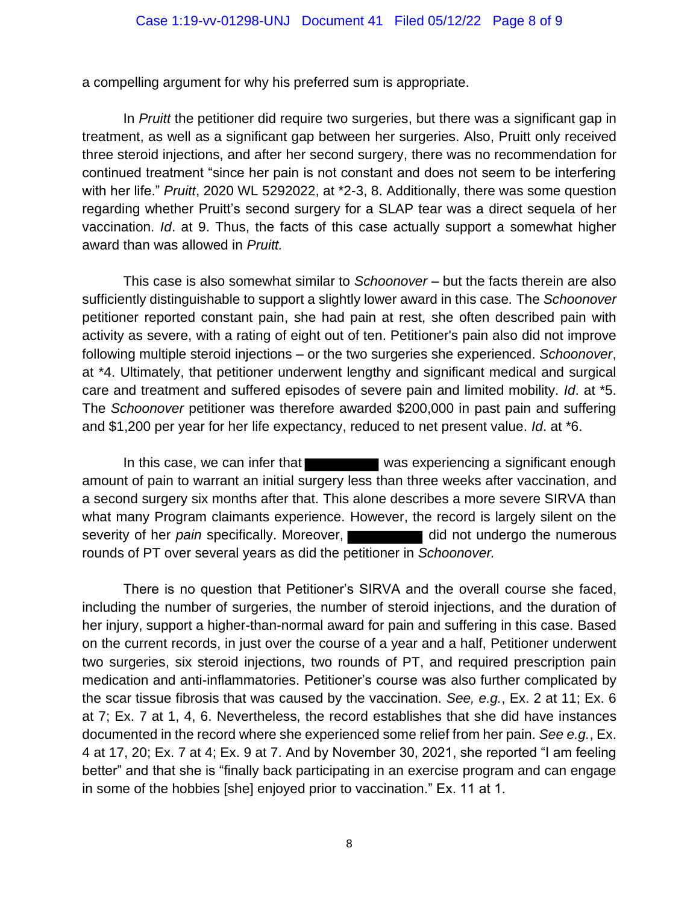a compelling argument for why his preferred sum is appropriate.

In *Pruitt* the petitioner did require two surgeries, but there was a significant gap in treatment, as well as a significant gap between her surgeries. Also, Pruitt only received three steroid injections, and after her second surgery, there was no recommendation for continued treatment "since her pain is not constant and does not seem to be interfering with her life." *Pruitt*, 2020 WL 5292022, at \*2-3, 8. Additionally, there was some question regarding whether Pruitt's second surgery for a SLAP tear was a direct sequela of her vaccination. *Id*. at 9. Thus, the facts of this case actually support a somewhat higher award than was allowed in *Pruitt.*

This case is also somewhat similar to *Schoonover* – but the facts therein are also sufficiently distinguishable to support a slightly lower award in this case*.* The *Schoonover* petitioner reported constant pain, she had pain at rest, she often described pain with activity as severe, with a rating of eight out of ten. Petitioner's pain also did not improve following multiple steroid injections – or the two surgeries she experienced. *Schoonover*, at \*4. Ultimately, that petitioner underwent lengthy and significant medical and surgical care and treatment and suffered episodes of severe pain and limited mobility. *Id*. at \*5. The *Schoonover* petitioner was therefore awarded \$200,000 in past pain and suffering and \$1,200 per year for her life expectancy, reduced to net present value. *Id*. at \*6.

In this case, we can infer that was experiencing a significant enough amount of pain to warrant an initial surgery less than three weeks after vaccination, and a second surgery six months after that. This alone describes a more severe SIRVA than what many Program claimants experience. However, the record is largely silent on the severity of her *pain* specifically. Moreover, rounds of PT over several years as did the petitioner in *Schoonover.* 

There is no question that Petitioner's SIRVA and the overall course she faced, including the number of surgeries, the number of steroid injections, and the duration of her injury, support a higher-than-normal award for pain and suffering in this case. Based on the current records, in just over the course of a year and a half, Petitioner underwent two surgeries, six steroid injections, two rounds of PT, and required prescription pain medication and anti-inflammatories. Petitioner's course was also further complicated by the scar tissue fibrosis that was caused by the vaccination. *See, e.g.*, Ex. 2 at 11; Ex. 6 at 7; Ex. 7 at 1, 4, 6. Nevertheless, the record establishes that she did have instances documented in the record where she experienced some relief from her pain. *See e.g.*, Ex. 4 at 17, 20; Ex. 7 at 4; Ex. 9 at 7. And by November 30, 2021, she reported "I am feeling better" and that she is "finally back participating in an exercise program and can engage in some of the hobbies [she] enjoyed prior to vaccination." Ex. 11 at 1.